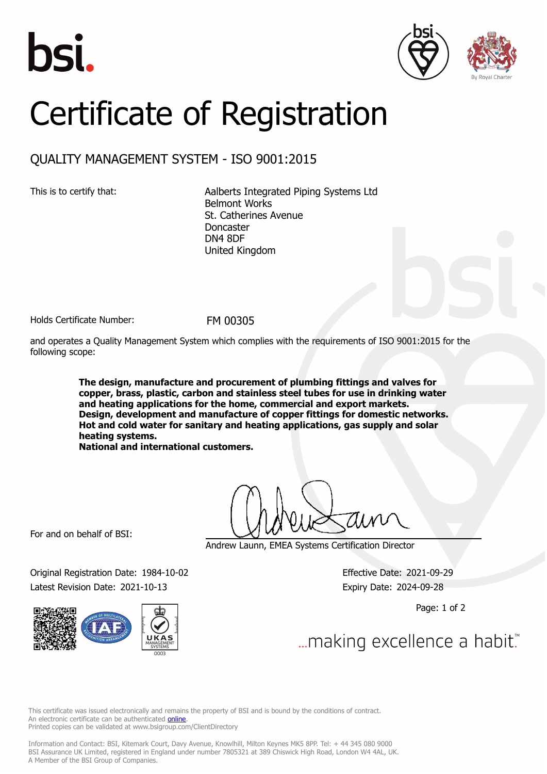





## Certificate of Registration

## QUALITY MANAGEMENT SYSTEM - ISO 9001:2015

This is to certify that: Aalberts Integrated Piping Systems Ltd Belmont Works St. Catherines Avenue Doncaster DN4 8DF United Kingdom

Holds Certificate Number: FM 00305

and operates a Quality Management System which complies with the requirements of ISO 9001:2015 for the following scope:

> **The design, manufacture and procurement of plumbing fittings and valves for copper, brass, plastic, carbon and stainless steel tubes for use in drinking water and heating applications for the home, commercial and export markets. Design, development and manufacture of copper fittings for domestic networks. Hot and cold water for sanitary and heating applications, gas supply and solar heating systems.**

**National and international customers.**

For and on behalf of BSI:

Andrew Launn, EMEA Systems Certification Director

Original Registration Date: 1984-10-02 Effective Date: 2021-09-29 Latest Revision Date: 2021-10-13 Expiry Date: 2024-09-28



Page: 1 of 2

... making excellence a habit.

This certificate was issued electronically and remains the property of BSI and is bound by the conditions of contract. An electronic certificate can be authenticated **[online](https://pgplus.bsigroup.com/CertificateValidation/CertificateValidator.aspx?CertificateNumber=FM+00305&ReIssueDate=13%2f10%2f2021&Template=uk)**. Printed copies can be validated at www.bsigroup.com/ClientDirectory

Information and Contact: BSI, Kitemark Court, Davy Avenue, Knowlhill, Milton Keynes MK5 8PP. Tel: + 44 345 080 9000 BSI Assurance UK Limited, registered in England under number 7805321 at 389 Chiswick High Road, London W4 4AL, UK. A Member of the BSI Group of Companies.